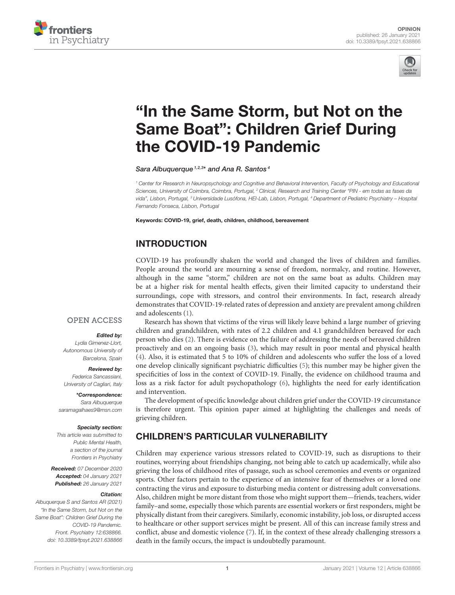



# "In the Same Storm, but Not on the [Same Boat": Children Grief During](https://www.frontiersin.org/articles/10.3389/fpsyt.2021.638866/full) the COVID-19 Pandemic

Sara Albuquerque<sup>1,2,3\*</sup> and Ana R. Santos<sup>4</sup>

<sup>1</sup> Center for Research in Neuropsychology and Cognitive and Behavioral Intervention, Faculty of Psychology and Educational Sciences, University of Coimbra, Coimbra, Portugal, <sup>2</sup> Clinical, Research and Training Center "PIN - em todas as fases da vida", Lisbon, Portugal, <sup>3</sup> Universidade Lusófona, HEI-Lab, Lisbon, Portugal, <sup>4</sup> Department of Pediatric Psychiatry – Hospital Fernando Fonseca, Lisbon, Portugal

Keywords: COVID-19, grief, death, children, childhood, bereavement

## INTRODUCTION

COVID-19 has profoundly shaken the world and changed the lives of children and families. People around the world are mourning a sense of freedom, normalcy, and routine. However, although in the same "storm," children are not on the same boat as adults. Children may be at a higher risk for mental health effects, given their limited capacity to understand their surroundings, cope with stressors, and control their environments. In fact, research already demonstrates that COVID-19-related rates of depression and anxiety are prevalent among children and adolescents [\(1\)](#page-2-0).

#### **OPEN ACCESS**

#### Edited by:

Lydia Gimenez-Llort, Autonomous University of Barcelona, Spain

#### Reviewed by:

Federica Sancassiani, University of Cagliari, Italy

\*Correspondence: Sara Albuquerque [saramagalhaes9@msn.com](mailto:saramagalhaes9@msn.com)

#### Specialty section:

This article was submitted to Public Mental Health, a section of the journal Frontiers in Psychiatry

Received: 07 December 2020 Accepted: 04 January 2021 Published: 26 January 2021

#### Citation:

Albuquerque S and Santos AR (2021) "In the Same Storm, but Not on the Same Boat": Children Grief During the COVID-19 Pandemic. Front. Psychiatry 12:638866. doi: [10.3389/fpsyt.2021.638866](https://doi.org/10.3389/fpsyt.2021.638866)

Research has shown that victims of the virus will likely leave behind a large number of grieving children and grandchildren, with rates of 2.2 children and 4.1 grandchildren bereaved for each person who dies [\(2\)](#page-2-1). There is evidence on the failure of addressing the needs of bereaved children proactively and on an ongoing basis [\(3\)](#page-2-2), which may result in poor mental and physical health [\(4\)](#page-2-3). Also, it is estimated that 5 to 10% of children and adolescents who suffer the loss of a loved one develop clinically significant psychiatric difficulties [\(5\)](#page-2-4); this number may be higher given the specificities of loss in the context of COVID-19. Finally, the evidence on childhood trauma and loss as a risk factor for adult psychopathology [\(6\)](#page-2-5), highlights the need for early identification and intervention.

The development of specific knowledge about children grief under the COVID-19 circumstance is therefore urgent. This opinion paper aimed at highlighting the challenges and needs of grieving children.

# CHILDREN'S PARTICULAR VULNERABILITY

Children may experience various stressors related to COVID-19, such as disruptions to their routines, worrying about friendships changing, not being able to catch up academically, while also grieving the loss of childhood rites of passage, such as school ceremonies and events or organized sports. Other factors pertain to the experience of an intensive fear of themselves or a loved one contracting the virus and exposure to disturbing media content or distressing adult conversations. Also, children might be more distant from those who might support them—friends, teachers, wider family–and some, especially those which parents are essential workers or first responders, might be physically distant from their caregivers. Similarly, economic instability, job loss, or disrupted access to healthcare or other support services might be present. All of this can increase family stress and conflict, abuse and domestic violence [\(7\)](#page-2-6). If, in the context of these already challenging stressors a death in the family occurs, the impact is undoubtedly paramount.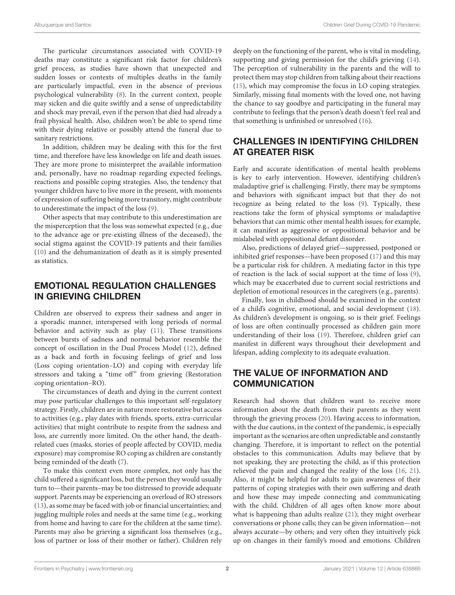The particular circumstances associated with COVID-19 deaths may constitute a significant risk factor for children's grief process, as studies have shown that unexpected and sudden losses or contexts of multiples deaths in the family are particularly impactful, even in the absence of previous psychological vulnerability [\(8\)](#page-2-7). In the current context, people may sicken and die quite swiftly and a sense of unpredictability and shock may prevail, even if the person that died had already a frail physical health. Also, children won't be able to spend time with their dying relative or possibly attend the funeral due to sanitary restrictions.

In addition, children may be dealing with this for the first time, and therefore have less knowledge on life and death issues. They are more prone to misinterpret the available information and, personally, have no roadmap regarding expected feelings, reactions and possible coping strategies. Also, the tendency that younger children have to live more in the present, with moments of expression of suffering being more transitory, might contribute to underestimate the impact of the loss [\(9\)](#page-2-8).

Other aspects that may contribute to this underestimation are the misperception that the loss was somewhat expected (e.g., due to the advance age or pre-existing illness of the deceased), the social stigma against the COVID-19 patients and their families [\(10\)](#page-2-9) and the dehumanization of death as it is simply presented as statistics.

### EMOTIONAL REGULATION CHALLENGES IN GRIEVING CHILDREN

Children are observed to express their sadness and anger in a sporadic manner, interspersed with long periods of normal behavior and activity such as play [\(11\)](#page-2-10). These transitions between bursts of sadness and normal behavior resemble the concept of oscillation in the Dual Process Model [\(12\)](#page-2-11), defined as a back and forth in focusing feelings of grief and loss (Loss coping orientation–LO) and coping with everyday life stressors and taking a "time off" from grieving (Restoration coping orientation–RO).

The circumstances of death and dying in the current context may pose particular challenges to this important self-regulatory strategy. Firstly, children are in nature more restorative but access to activities (e.g., play dates with friends, sports, extra-curricular activities) that might contribute to respite from the sadness and loss, are currently more limited. On the other hand, the deathrelated cues (masks, stories of people affected by COVID, media exposure) may compromise RO coping as children are constantly being reminded of the death [\(7\)](#page-2-6).

To make this context even more complex, not only has the child suffered a significant loss, but the person they would usually turn to—their parents–may be too distressed to provide adequate support. Parents may be experiencing an overload of RO stressors [\(13\)](#page-2-12), as some may be faced with job or financial uncertainties; and juggling multiple roles and needs at the same time (e.g., working from home and having to care for the children at the same time). Parents may also be grieving a significant loss themselves (e.g., loss of partner or loss of their mother or father). Children rely deeply on the functioning of the parent, who is vital in modeling, supporting and giving permission for the child's grieving [\(14\)](#page-2-13). The perception of vulnerability in the parents and the will to protect them may stop children from talking about their reactions [\(15\)](#page-2-14), which may compromise the focus in LO coping strategies. Similarly, missing final moments with the loved one, not having the chance to say goodbye and participating in the funeral may contribute to feelings that the person's death doesn't feel real and that something is unfinished or unresolved [\(16\)](#page-2-15).

### CHALLENGES IN IDENTIFYING CHILDREN AT GREATER RISK

Early and accurate identification of mental health problems is key to early intervention. However, identifying children's maladaptive grief is challenging. Firstly, there may be symptoms and behaviors with significant impact but that they do not recognize as being related to the loss [\(9\)](#page-2-8). Typically, these reactions take the form of physical symptoms or maladaptive behaviors that can mimic other mental health issues; for example, it can manifest as aggressive or oppositional behavior and be mislabeled with oppositional defiant disorder.

Also, predictions of delayed grief—suppressed, postponed or inhibited grief responses—have been proposed [\(17\)](#page-2-16) and this may be a particular risk for children. A mediating factor in this type of reaction is the lack of social support at the time of loss [\(9\)](#page-2-8), which may be exacerbated due to current social restrictions and depletion of emotional resources in the caregivers (e.g., parents).

Finally, loss in childhood should be examined in the context of a child's cognitive, emotional, and social development [\(18\)](#page-2-17). As children's development is ongoing, so is their grief. Feelings of loss are often continually processed as children gain more understanding of their loss [\(19\)](#page-2-18). Therefore, children grief can manifest in different ways throughout their development and lifespan, adding complexity to its adequate evaluation.

# THE VALUE OF INFORMATION AND **COMMUNICATION**

Research had shown that children want to receive more information about the death from their parents as they went through the grieving process [\(20\)](#page-2-19). Having access to information, with the due cautions, in the context of the pandemic, is especially important as the scenarios are often unpredictable and constantly changing. Therefore, it is important to reflect on the potential obstacles to this communication. Adults may believe that by not speaking, they are protecting the child, as if this protection relieved the pain and changed the reality of the loss [\(16,](#page-2-15) [21\)](#page-2-20). Also, it might be helpful for adults to gain awareness of their patterns of coping strategies with their own suffering and death and how these may impede connecting and communicating with the child. Children of all ages often know more about what is happening than adults realize [\(21\)](#page-2-20); they might overhear conversations or phone calls; they can be given information—not always accurate—by others; and very often they intuitively pick up on changes in their family's mood and emotions. Children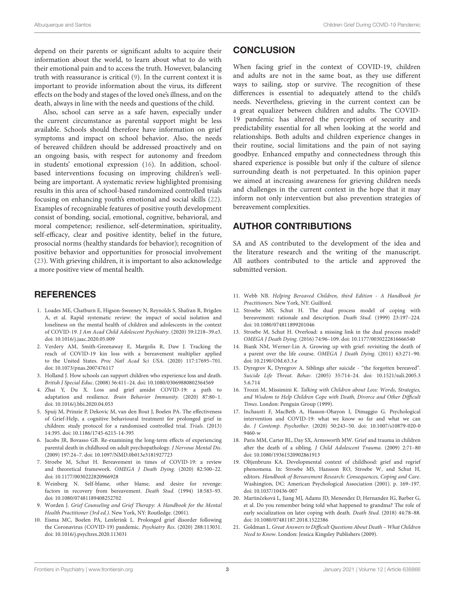depend on their parents or significant adults to acquire their information about the world, to learn about what to do with their emotional pain and to access the truth. However, balancing truth with reassurance is critical [\(9\)](#page-2-8). In the current context it is important to provide information about the virus, its different effects on the body and stages of the loved one's illness, and on the death, always in line with the needs and questions of the child.

Also, school can serve as a safe haven, especially under the current circumstance as parental support might be less available. Schools should therefore have information on grief symptoms and impact on school behavior. Also, the needs of bereaved children should be addressed proactively and on an ongoing basis, with respect for autonomy and freedom in students' emotional expression [\(16\)](#page-2-15). In addition, schoolbased interventions focusing on improving children's wellbeing are important. A systematic review highlighted promising results in this area of school-based randomized controlled trials focusing on enhancing youth's emotional and social skills [\(22\)](#page-3-0). Examples of recognizable features of positive youth development consist of bonding, social, emotional, cognitive, behavioral, and moral competence; resilience, self-determination, spirituality, self-efficacy, clear and positive identity, belief in the future, prosocial norms (healthy standards for behavior); recognition of positive behavior and opportunities for prosocial involvement [\(23\)](#page-3-1). With grieving children, it is important to also acknowledge a more positive view of mental health.

### **REFERENCES**

- <span id="page-2-0"></span>1. Loades ME, Chatburn E, Higson-Sweeney N, Reynolds S, Shafran R, Brigden A, et al. Rapid systematic review: the impact of social isolation and loneliness on the mental health of children and adolescents in the context of COVID-19. J Am Acad Child Adolescent Psychiatry. (2020) 59:1218–39.e3. doi: [10.1016/j.jaac.2020.05.009](https://doi.org/10.1016/j.jaac.2020.05.009)
- <span id="page-2-1"></span>2. Verdery AM, Smith-Greenaway E, Margolis R, Daw J. Tracking the reach of COVID-19 kin loss with a bereavement multiplier applied to the United States. Proc Natl Acad Sci USA. (2020) 117:17695–701. doi: [10.1073/pnas.2007476117](https://doi.org/10.1073/pnas.2007476117)
- <span id="page-2-2"></span>3. Holland J. How schools can support children who experience loss and death. British J Special Educ. (2008) 36:411–24. doi: [10.1080/03069880802364569](https://doi.org/10.1080/03069880802364569)
- <span id="page-2-3"></span>4. Zhai Y, Du X. Loss and grief amidst COVID-19: a path to adaptation and resilience. Brain Behavior Immunity. (2020) 87:80–1. doi: [10.1016/j.bbi.2020.04.053](https://doi.org/10.1016/j.bbi.2020.04.053)
- <span id="page-2-4"></span>5. Spuij M, Prinzie P, Dekovic M, van den Bout J, Boelen PA. The effectiveness of Grief-Help, a cognitive behavioural treatment for prolonged grief in children: study protocol for a randomised controlled trial. Trials. (2013) 14:395. doi: [10.1186/1745-6215-14-395](https://doi.org/10.1186/1745-6215-14-395)
- <span id="page-2-5"></span>6. Jacobs JR, Bovasso GB. Re-examining the long-term effects of experiencing parental death in childhood on adult psychopathology. J Nervous Mental Dis. (2009) 197:24–7. doi: [10.1097/NMD.0b013e3181927723](https://doi.org/10.1097/NMD.0b013e3181927723)
- <span id="page-2-6"></span>7. Stroebe M, Schut H. Bereavement in times of COVID-19: a review and theoretical framework. OMEGA J Death Dying. (2020) 82:500–22. doi: [10.1177/0030222820966928](https://doi.org/10.1177/0030222820966928)
- <span id="page-2-7"></span>8. Weinberg N. Self-blame, other blame, and desire for revenge: factors in recovery from bereavement. Death Stud. (1994) 18:583–93. doi: [10.1080/07481189408252702](https://doi.org/10.1080/07481189408252702)
- <span id="page-2-8"></span>9. Worden J. Grief Counseling and Grief Therapy: A Handbook for the Mental Health Practitioner (3rd ed.). New York, NY: Routledge. (2001).
- <span id="page-2-9"></span>10. Eisma MC, Boelen PA, Lenferink L. Prolonged grief disorder following the Coronavirus (COVID-19) pandemic. Psychiatry Res. (2020) 288:113031. doi: [10.1016/j.psychres.2020.113031](https://doi.org/10.1016/j.psychres.2020.113031)

### **CONCLUSION**

When facing grief in the context of COVID-19, children and adults are not in the same boat, as they use different ways to sailing, stop or survive. The recognition of these differences is essential to adequately attend to the child's needs. Nevertheless, grieving in the current context can be a great equalizer between children and adults. The COVID-19 pandemic has altered the perception of security and predictability essential for all when looking at the world and relationships. Both adults and children experience changes in their routine, social limitations and the pain of not saying goodbye. Enhanced empathy and connectedness through this shared experience is possible but only if the culture of silence surrounding death is not perpetuated. In this opinion paper we aimed at increasing awareness for grieving children needs and challenges in the current context in the hope that it may inform not only intervention but also prevention strategies of bereavement complexities.

### AUTHOR CONTRIBUTIONS

SA and AS contributed to the development of the idea and the literature research and the writing of the manuscript. All authors contributed to the article and approved the submitted version.

- <span id="page-2-10"></span>11. Webb NB. Helping Bereaved Children, third Edition - A Handbook for Practitioners. New York, NY: Guilford.
- <span id="page-2-11"></span>12. Stroebe MS, Schut H. The dual process model of coping with bereavement: rationale and description. Death Stud. (1999) 23:197–224. doi: [10.1080/074811899201046](https://doi.org/10.1080/074811899201046)
- <span id="page-2-12"></span>13. Stroebe M, Schut H. Overload: a missing link in the dual process model? OMEGA J Death Dying. (2016) 74:96–109. doi: [10.1177/0030222816666540](https://doi.org/10.1177/0030222816666540)
- <span id="page-2-13"></span>14. Biank NM, Werner-Lin A. Growing up with grief: revisiting the death of a parent over the life course. OMEGA J Death Dying. (2011) 63:271–90. doi: [10.2190/OM.63.3.e](https://doi.org/10.2190/OM.63.3.e)
- <span id="page-2-14"></span>15. Dyregrov K, Dyregrov A. Siblings after suicide - "the forgotten bereaved". Suicide Life Threat. Behav. [\(2005\) 35:714–24. doi: 10.1521/suli.2005.3](https://doi.org/10.1521/suli.2005.35.6.714) 5.6.714
- <span id="page-2-15"></span>16. Trozzi M, Missimini K. Talking with Children about Loss: Words, Strategies, and Wisdom to Help Children Cope with Death, Divorce and Other Difficult Times. London: Penguin Group (1999).
- <span id="page-2-16"></span>17. Inchausti F, MacBeth A, Hasson-Ohayon I, Dimaggio G. Psychological intervention and COVID-19: what we know so far and what we can do. J Contemp. Psychother[. \(2020\) 50:243–50. doi: 10.1007/s10879-020-0](https://doi.org/10.1007/s10879-020-09460-w) 9460-w
- <span id="page-2-17"></span>18. Paris MM, Carter BL, Day SX, Armsworth MW. Grief and trauma in children after the death of a sibling. J Child Adolescent Trauma. (2009) 2:71–80 doi: [10.1080/19361520902861913](https://doi.org/10.1080/19361520902861913)
- <span id="page-2-18"></span>19. Oltjenbruns KA. Developmental context of childhood: grief and regrief phenomena. In: Stroebe MS, Hansson RO, Stroebe W, and Schut H, editors. Handbook of Bereavement Research: Consequences, Coping and Care. Washington, DC: American Psychological Association (2001). p. 169–197. doi: [10.1037/10436-007](https://doi.org/10.1037/10436-007)
- <span id="page-2-19"></span>20. Martinčeková L, Jiang MJ, Adams JD, Menendez D, Hernandez IG, Barber G, et al. Do you remember being told what happened to grandma? The role of early socialization on later coping with death. Death Stud. (2018) 44:78–88. doi: [10.1080/07481187.2018.1522386](https://doi.org/10.1080/07481187.2018.1522386)
- <span id="page-2-20"></span>21. Goldman L. Great Answers to Difficult Questions About Death – What Children Need to Know. London: Jessica Kingsley Publishers (2009).